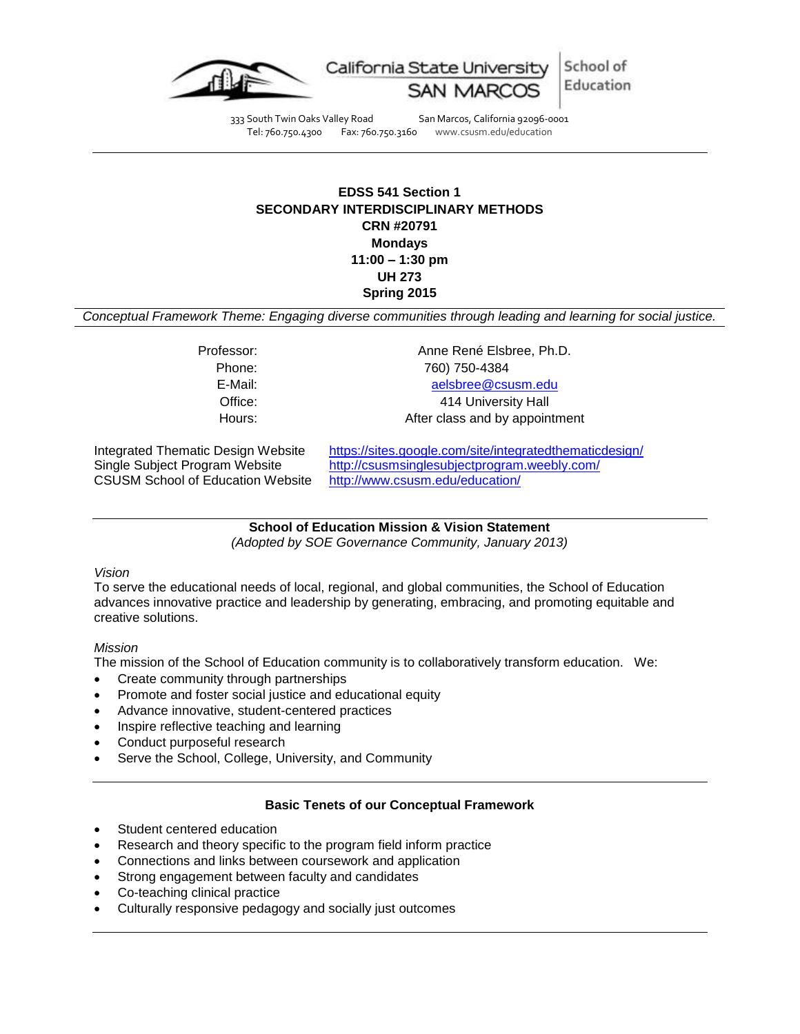

School of California State Univer Education

333 South Twin Oaks Valley Road San Marcos, California 92096-0001 Tel: 760.750.4300 Fax: 760.750.3160 www.csusm.edu/education

# **EDSS 541 Section 1 SECONDARY INTERDISCIPLINARY METHODS CRN #20791 Mondays 11:00 – 1:30 pm UH 273 Spring 2015**

*Conceptual Framework Theme: Engaging diverse communities through leading and learning for social justice.*

Professor: Anne René Elsbree, Ph.D. Phone: 760) 750-4384 E-Mail: [aelsbree@csusm.edu](mailto:aelsbree@csusm.edu) Office: 414 University Hall Hours: Hours: After class and by appointment

CSUSM School of Education Website <http://www.csusm.edu/education/>

Integrated Thematic Design Website <https://sites.google.com/site/integratedthematicdesign/> Single Subject Program Website <http://csusmsinglesubjectprogram.weebly.com/>

> **School of Education Mission & Vision Statement** *(Adopted by SOE Governance Community, January 2013)*

#### *Vision*

To serve the educational needs of local, regional, and global communities, the School of Education advances innovative practice and leadership by generating, embracing, and promoting equitable and creative solutions.

## *Mission*

The mission of the School of Education community is to collaboratively transform education. We:

- Create community through partnerships
- Promote and foster social justice and educational equity
- Advance innovative, student-centered practices
- Inspire reflective teaching and learning
- Conduct purposeful research
- Serve the School, College, University, and Community

## **Basic Tenets of our Conceptual Framework**

- Student centered education
- Research and theory specific to the program field inform practice
- Connections and links between coursework and application
- Strong engagement between faculty and candidates
- Co-teaching clinical practice
- Culturally responsive pedagogy and socially just outcomes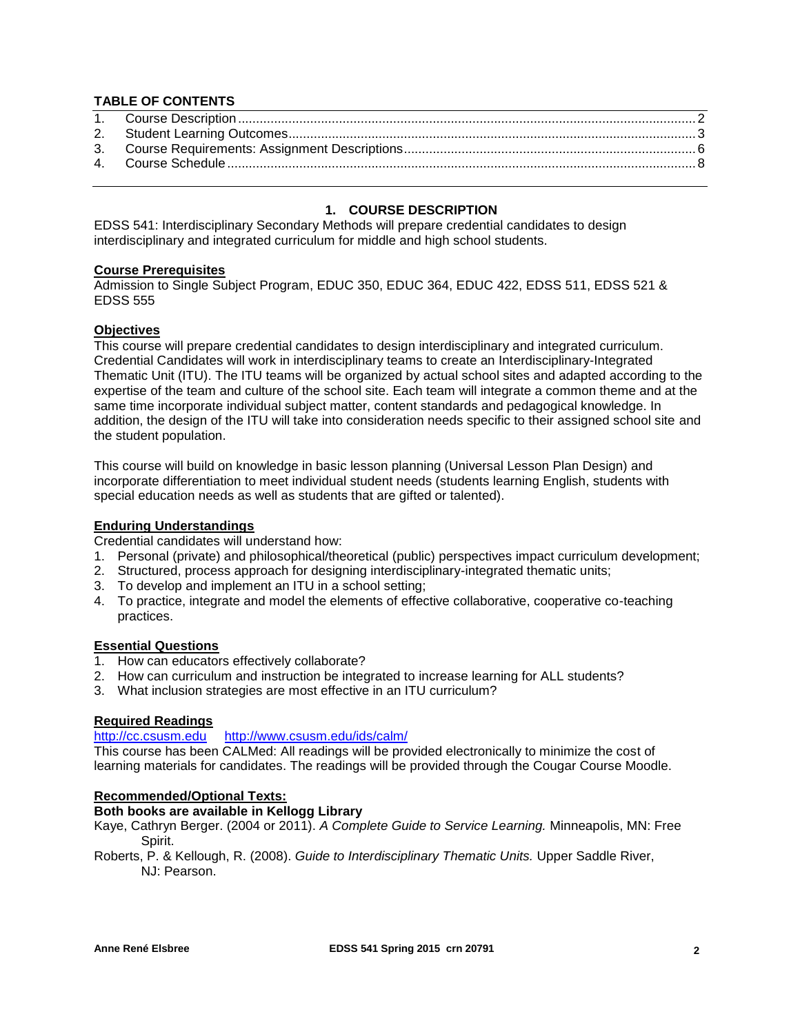## **TABLE OF CONTENTS**

## **1. COURSE DESCRIPTION**

<span id="page-1-0"></span>EDSS 541: Interdisciplinary Secondary Methods will prepare credential candidates to design interdisciplinary and integrated curriculum for middle and high school students.

#### **Course Prerequisites**

Admission to Single Subject Program, EDUC 350, EDUC 364, EDUC 422, EDSS 511, EDSS 521 & EDSS 555

#### **Objectives**

This course will prepare credential candidates to design interdisciplinary and integrated curriculum. Credential Candidates will work in interdisciplinary teams to create an Interdisciplinary-Integrated Thematic Unit (ITU). The ITU teams will be organized by actual school sites and adapted according to the expertise of the team and culture of the school site. Each team will integrate a common theme and at the same time incorporate individual subject matter, content standards and pedagogical knowledge. In addition, the design of the ITU will take into consideration needs specific to their assigned school site and the student population.

This course will build on knowledge in basic lesson planning (Universal Lesson Plan Design) and incorporate differentiation to meet individual student needs (students learning English, students with special education needs as well as students that are gifted or talented).

#### **Enduring Understandings**

Credential candidates will understand how:

- 1. Personal (private) and philosophical/theoretical (public) perspectives impact curriculum development;
- 2. Structured, process approach for designing interdisciplinary-integrated thematic units;
- 3. To develop and implement an ITU in a school setting;
- 4. To practice, integrate and model the elements of effective collaborative, cooperative co-teaching practices.

#### **Essential Questions**

- 1. How can educators effectively collaborate?
- 2. How can curriculum and instruction be integrated to increase learning for ALL students?
- 3. What inclusion strategies are most effective in an ITU curriculum?

#### **Required Readings**

#### [http://cc.csusm.edu](http://cc.csusm.edu/) <http://www.csusm.edu/ids/calm/>

This course has been CALMed: All readings will be provided electronically to minimize the cost of learning materials for candidates. The readings will be provided through the Cougar Course Moodle.

#### **Recommended/Optional Texts:**

## **Both books are available in Kellogg Library**

Kaye, Cathryn Berger. (2004 or 2011). *A Complete Guide to Service Learning.* Minneapolis, MN: Free Spirit.

Roberts, P. & Kellough, R. (2008). *Guide to Interdisciplinary Thematic Units.* Upper Saddle River, NJ: Pearson.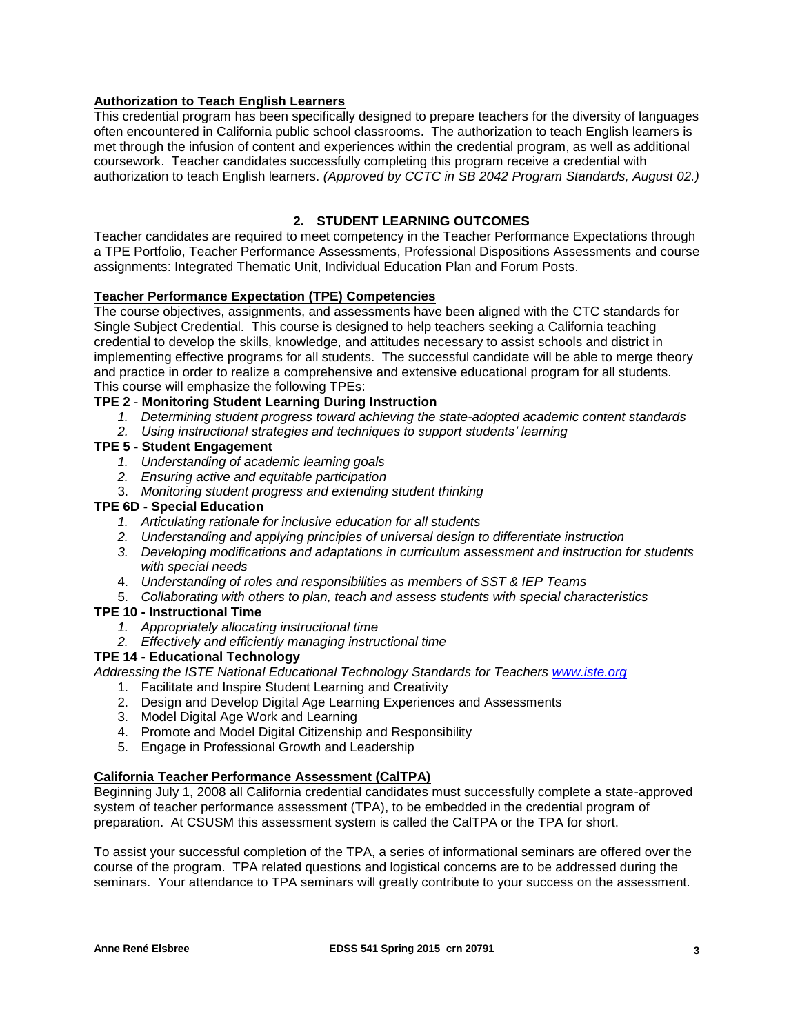## **Authorization to Teach English Learners**

This credential program has been specifically designed to prepare teachers for the diversity of languages often encountered in California public school classrooms. The authorization to teach English learners is met through the infusion of content and experiences within the credential program, as well as additional coursework. Teacher candidates successfully completing this program receive a credential with authorization to teach English learners. *(Approved by CCTC in SB 2042 Program Standards, August 02.)*

## **2. STUDENT LEARNING OUTCOMES**

<span id="page-2-0"></span>Teacher candidates are required to meet competency in the Teacher Performance Expectations through a TPE Portfolio, Teacher Performance Assessments, Professional Dispositions Assessments and course assignments: Integrated Thematic Unit, Individual Education Plan and Forum Posts.

## **Teacher Performance Expectation (TPE) Competencies**

The course objectives, assignments, and assessments have been aligned with the CTC standards for Single Subject Credential. This course is designed to help teachers seeking a California teaching credential to develop the skills, knowledge, and attitudes necessary to assist schools and district in implementing effective programs for all students. The successful candidate will be able to merge theory and practice in order to realize a comprehensive and extensive educational program for all students. This course will emphasize the following TPEs:

## **TPE 2** - **Monitoring Student Learning During Instruction**

- *1. Determining student progress toward achieving the state-adopted academic content standards*
- *2. Using instructional strategies and techniques to support students' learning*

# **TPE 5 - Student Engagement**

- *1. Understanding of academic learning goals*
- *2. Ensuring active and equitable participation*
- 3. *Monitoring student progress and extending student thinking*

#### **TPE 6D - Special Education**

- *1. Articulating rationale for inclusive education for all students*
- *2. Understanding and applying principles of universal design to differentiate instruction*
- *3. Developing modifications and adaptations in curriculum assessment and instruction for students with special needs*
- 4. *Understanding of roles and responsibilities as members of SST & IEP Teams*
- 5. *Collaborating with others to plan, teach and assess students with special characteristics*

## **TPE 10 - Instructional Time**

- *1. Appropriately allocating instructional time*
- *2. Effectively and efficiently managing instructional time*

#### **TPE 14 - Educational Technology**

*Addressing the ISTE National Educational Technology Standards for Teachers [www.iste.org](http://www.iste.org/)*

- 1. Facilitate and Inspire Student Learning and Creativity
- 2. Design and Develop Digital Age Learning Experiences and Assessments
- 3. Model Digital Age Work and Learning
- 4. Promote and Model Digital Citizenship and Responsibility
- 5. Engage in Professional Growth and Leadership

## **California Teacher Performance Assessment (CalTPA)**

Beginning July 1, 2008 all California credential candidates must successfully complete a state-approved system of teacher performance assessment (TPA), to be embedded in the credential program of preparation. At CSUSM this assessment system is called the CalTPA or the TPA for short.

To assist your successful completion of the TPA, a series of informational seminars are offered over the course of the program. TPA related questions and logistical concerns are to be addressed during the seminars. Your attendance to TPA seminars will greatly contribute to your success on the assessment.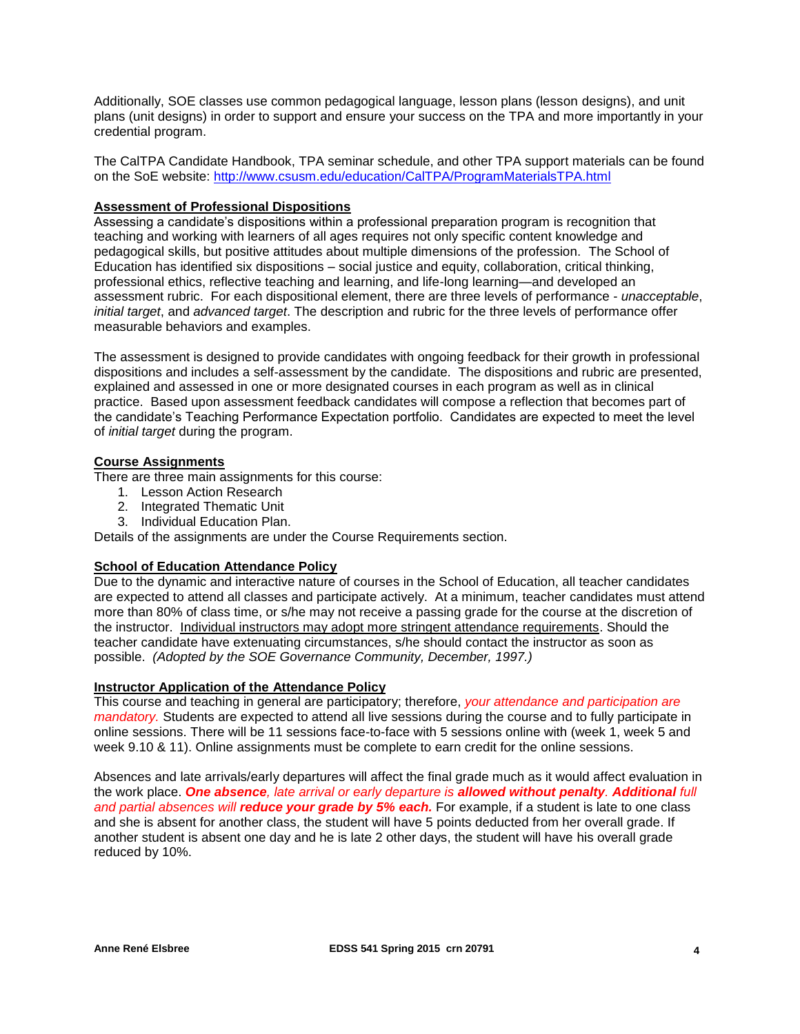Additionally, SOE classes use common pedagogical language, lesson plans (lesson designs), and unit plans (unit designs) in order to support and ensure your success on the TPA and more importantly in your credential program.

The CalTPA Candidate Handbook, TPA seminar schedule, and other TPA support materials can be found on the SoE website:<http://www.csusm.edu/education/CalTPA/ProgramMaterialsTPA.html>

### **Assessment of Professional Dispositions**

Assessing a candidate's dispositions within a professional preparation program is recognition that teaching and working with learners of all ages requires not only specific content knowledge and pedagogical skills, but positive attitudes about multiple dimensions of the profession. The School of Education has identified six dispositions – social justice and equity, collaboration, critical thinking, professional ethics, reflective teaching and learning, and life-long learning—and developed an assessment rubric. For each dispositional element, there are three levels of performance - *unacceptable*, *initial target*, and *advanced target*. The description and rubric for the three levels of performance offer measurable behaviors and examples.

The assessment is designed to provide candidates with ongoing feedback for their growth in professional dispositions and includes a self-assessment by the candidate. The dispositions and rubric are presented, explained and assessed in one or more designated courses in each program as well as in clinical practice. Based upon assessment feedback candidates will compose a reflection that becomes part of the candidate's Teaching Performance Expectation portfolio. Candidates are expected to meet the level of *initial target* during the program.

## **Course Assignments**

There are three main assignments for this course:

- 1. Lesson Action Research
- 2. Integrated Thematic Unit
- 3. Individual Education Plan.

Details of the assignments are under the Course Requirements section.

## **School of Education Attendance Policy**

Due to the dynamic and interactive nature of courses in the School of Education, all teacher candidates are expected to attend all classes and participate actively. At a minimum, teacher candidates must attend more than 80% of class time, or s/he may not receive a passing grade for the course at the discretion of the instructor. Individual instructors may adopt more stringent attendance requirements. Should the teacher candidate have extenuating circumstances, s/he should contact the instructor as soon as possible. *(Adopted by the SOE Governance Community, December, 1997.)*

#### **Instructor Application of the Attendance Policy**

This course and teaching in general are participatory; therefore, *your attendance and participation are mandatory.* Students are expected to attend all live sessions during the course and to fully participate in online sessions. There will be 11 sessions face-to-face with 5 sessions online with (week 1, week 5 and week 9.10 & 11). Online assignments must be complete to earn credit for the online sessions.

Absences and late arrivals/early departures will affect the final grade much as it would affect evaluation in the work place. *One absence, late arrival or early departure is allowed without penalty. Additional full and partial absences will reduce your grade by 5% each.* For example, if a student is late to one class and she is absent for another class, the student will have 5 points deducted from her overall grade. If another student is absent one day and he is late 2 other days, the student will have his overall grade reduced by 10%.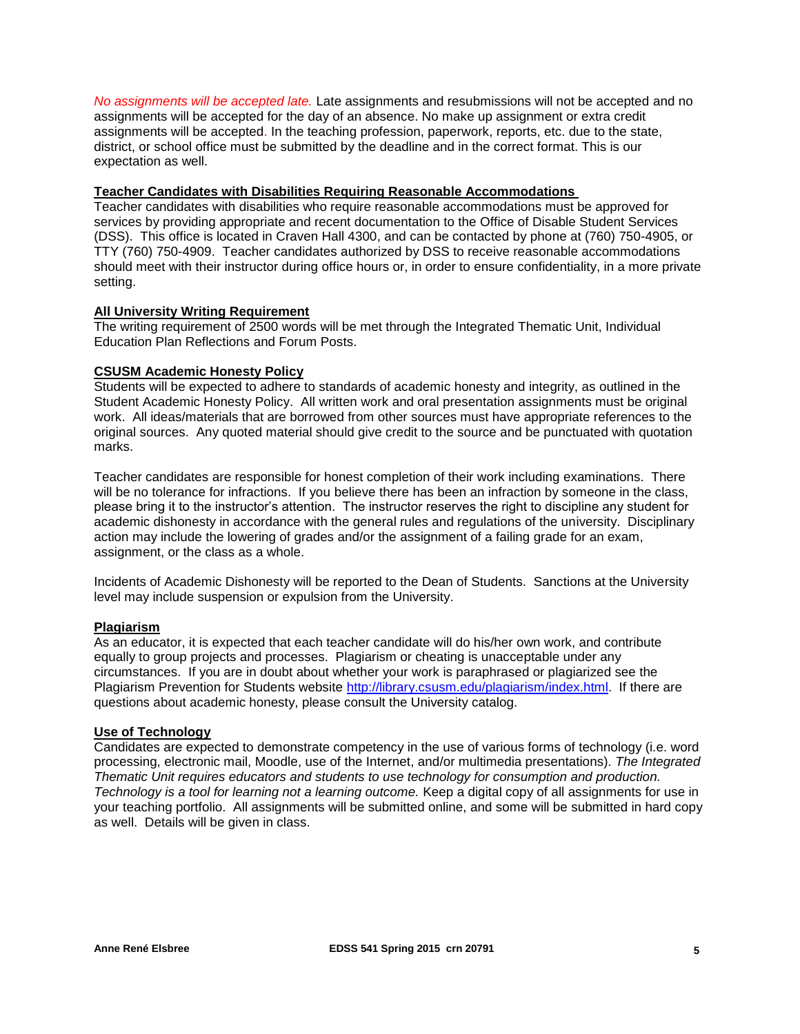*No assignments will be accepted late.* Late assignments and resubmissions will not be accepted and no assignments will be accepted for the day of an absence. No make up assignment or extra credit assignments will be accepted. In the teaching profession, paperwork, reports, etc. due to the state, district, or school office must be submitted by the deadline and in the correct format. This is our expectation as well.

#### **Teacher Candidates with Disabilities Requiring Reasonable Accommodations**

Teacher candidates with disabilities who require reasonable accommodations must be approved for services by providing appropriate and recent documentation to the Office of Disable Student Services (DSS). This office is located in Craven Hall 4300, and can be contacted by phone at (760) 750-4905, or TTY (760) 750-4909. Teacher candidates authorized by DSS to receive reasonable accommodations should meet with their instructor during office hours or, in order to ensure confidentiality, in a more private setting.

## **All University Writing Requirement**

The writing requirement of 2500 words will be met through the Integrated Thematic Unit, Individual Education Plan Reflections and Forum Posts.

#### **CSUSM Academic Honesty Policy**

Students will be expected to adhere to standards of academic honesty and integrity, as outlined in the Student Academic Honesty Policy. All written work and oral presentation assignments must be original work. All ideas/materials that are borrowed from other sources must have appropriate references to the original sources. Any quoted material should give credit to the source and be punctuated with quotation marks.

Teacher candidates are responsible for honest completion of their work including examinations. There will be no tolerance for infractions. If you believe there has been an infraction by someone in the class, please bring it to the instructor's attention. The instructor reserves the right to discipline any student for academic dishonesty in accordance with the general rules and regulations of the university. Disciplinary action may include the lowering of grades and/or the assignment of a failing grade for an exam, assignment, or the class as a whole.

Incidents of Academic Dishonesty will be reported to the Dean of Students. Sanctions at the University level may include suspension or expulsion from the University.

#### **Plagiarism**

As an educator, it is expected that each teacher candidate will do his/her own work, and contribute equally to group projects and processes. Plagiarism or cheating is unacceptable under any circumstances. If you are in doubt about whether your work is paraphrased or plagiarized see the Plagiarism Prevention for Students website [http://library.csusm.edu/plagiarism/index.html.](http://library.csusm.edu/plagiarism/index.html) If there are questions about academic honesty, please consult the University catalog.

#### **Use of Technology**

Candidates are expected to demonstrate competency in the use of various forms of technology (i.e. word processing, electronic mail, Moodle, use of the Internet, and/or multimedia presentations). *The Integrated Thematic Unit requires educators and students to use technology for consumption and production. Technology is a tool for learning not a learning outcome.* Keep a digital copy of all assignments for use in your teaching portfolio. All assignments will be submitted online, and some will be submitted in hard copy as well. Details will be given in class.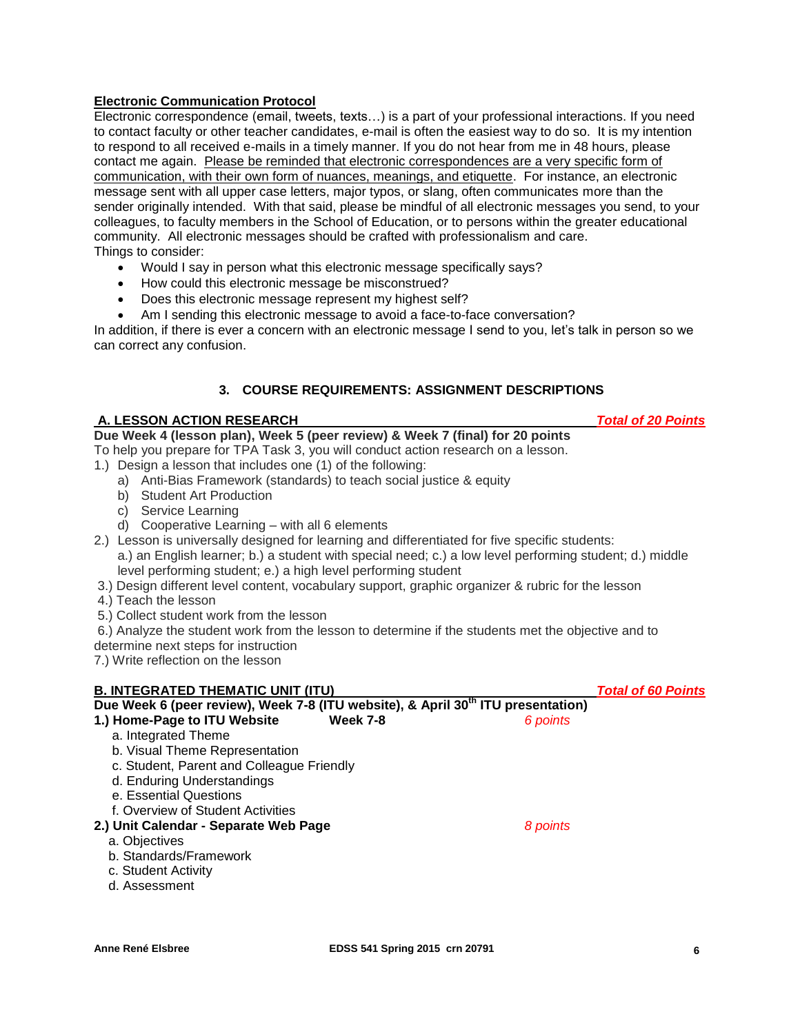## **Electronic Communication Protocol**

Electronic correspondence (email, tweets, texts…) is a part of your professional interactions. If you need to contact faculty or other teacher candidates, e-mail is often the easiest way to do so. It is my intention to respond to all received e-mails in a timely manner. If you do not hear from me in 48 hours, please contact me again. Please be reminded that electronic correspondences are a very specific form of communication, with their own form of nuances, meanings, and etiquette. For instance, an electronic message sent with all upper case letters, major typos, or slang, often communicates more than the sender originally intended. With that said, please be mindful of all electronic messages you send, to your colleagues, to faculty members in the School of Education, or to persons within the greater educational community. All electronic messages should be crafted with professionalism and care. Things to consider:

- Would I say in person what this electronic message specifically says?
- How could this electronic message be misconstrued?
- Does this electronic message represent my highest self?
- Am I sending this electronic message to avoid a face-to-face conversation?

In addition, if there is ever a concern with an electronic message I send to you, let's talk in person so we can correct any confusion.

## **3. COURSE REQUIREMENTS: ASSIGNMENT DESCRIPTIONS**

#### <span id="page-5-0"></span>**A. LESSON ACTION RESEARCH** *Total of 20 Points*

**Due Week 4 (lesson plan), Week 5 (peer review) & Week 7 (final) for 20 points**

- To help you prepare for TPA Task 3, you will conduct action research on a lesson.
- 1.) Design a lesson that includes one (1) of the following:
	- a) Anti-Bias Framework (standards) to teach social justice & equity
	- b) Student Art Production
	- c) Service Learning
	- d) Cooperative Learning with all 6 elements
- 2.) Lesson is universally designed for learning and differentiated for five specific students: a.) an English learner; b.) a student with special need; c.) a low level performing student; d.) middle level performing student; e.) a high level performing student
- 3.) Design different level content, vocabulary support, graphic organizer & rubric for the lesson
- 4.) Teach the lesson
- 5.) Collect student work from the lesson
- 6.) Analyze the student work from the lesson to determine if the students met the objective and to
- determine next steps for instruction

7.) Write reflection on the lesson

#### **B. INTEGRATED THEMATIC UNIT (ITU)** *Total of 60 Points*

| Due Week 6 (peer review), Week 7-8 (ITU website), & April 30 <sup>th</sup> ITU presentation) |                             |  |  |  |  |  |
|----------------------------------------------------------------------------------------------|-----------------------------|--|--|--|--|--|
| 1.) Home-Page to ITU Website                                                                 | <b>Week 7-8</b><br>6 points |  |  |  |  |  |
| a. Integrated Theme                                                                          |                             |  |  |  |  |  |
| b. Visual Theme Representation                                                               |                             |  |  |  |  |  |
| c. Student, Parent and Colleague Friendly                                                    |                             |  |  |  |  |  |
| d. Enduring Understandings                                                                   |                             |  |  |  |  |  |
| e. Essential Questions                                                                       |                             |  |  |  |  |  |
| f. Overview of Student Activities                                                            |                             |  |  |  |  |  |
| 2.) Unit Calendar - Separate Web Page                                                        | 8 points                    |  |  |  |  |  |
| a. Objectives                                                                                |                             |  |  |  |  |  |
| b. Standards/Framework                                                                       |                             |  |  |  |  |  |
| c. Student Activity                                                                          |                             |  |  |  |  |  |
| d. Assessment                                                                                |                             |  |  |  |  |  |
|                                                                                              |                             |  |  |  |  |  |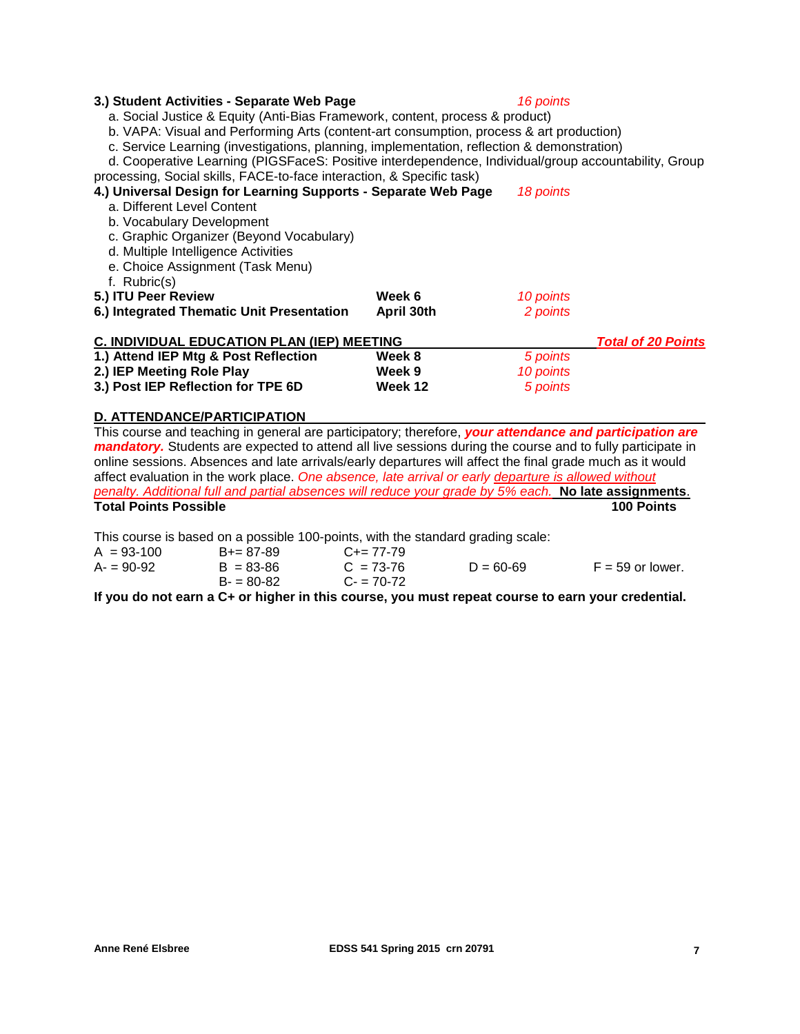### **3.) Student Activities - Separate Web Page** *16 points*

a. Social Justice & Equity (Anti-Bias Framework, content, process & product)

b. VAPA: Visual and Performing Arts (content-art consumption, process & art production)

c. Service Learning (investigations, planning, implementation, reflection & demonstration)

d. Cooperative Learning (PIGSFaceS: Positive interdependence, Individual/group accountability, Group processing, Social skills, FACE-to-face interaction, & Specific task)

| 4.) Universal Design for Learning Supports - Separate Web Page<br>a. Different Level Content<br>b. Vocabulary Development<br>c. Graphic Organizer (Beyond Vocabulary)<br>d. Multiple Intelligence Activities<br>e. Choice Assignment (Task Menu)<br>f. Rubric(s) | 18 points  |                           |  |
|------------------------------------------------------------------------------------------------------------------------------------------------------------------------------------------------------------------------------------------------------------------|------------|---------------------------|--|
| 5.) ITU Peer Review                                                                                                                                                                                                                                              | Week 6     | 10 points                 |  |
| 6.) Integrated Thematic Unit Presentation                                                                                                                                                                                                                        | April 30th | 2 points                  |  |
| <b>C. INDIVIDUAL EDUCATION PLAN (IEP) MEETING</b>                                                                                                                                                                                                                |            | <b>Total of 20 Points</b> |  |
| 1.) Attend IEP Mtg & Post Reflection                                                                                                                                                                                                                             | Week 8     | 5 points                  |  |
| 2.) IEP Meeting Role Play                                                                                                                                                                                                                                        | Week 9     | 10 points                 |  |
| 3.) Post IEP Reflection for TPE 6D                                                                                                                                                                                                                               | Week 12    | 5 points                  |  |

#### **D. ATTENDANCE/PARTICIPATION**

This course and teaching in general are participatory; therefore, *your attendance and participation are mandatory*. Students are expected to attend all live sessions during the course and to fully participate in online sessions. Absences and late arrivals/early departures will affect the final grade much as it would affect evaluation in the work place. *One absence, late arrival or early departure is allowed without penalty. Additional full and partial absences will reduce your grade by 5% each.* **No late assignments**. **Total Points Possible 100 Points**

This course is based on a possible 100-points, with the standard grading scale:

| $A = 93-100$ | $B+=87-89$    | $C+= 77-79$ |               |                    |
|--------------|---------------|-------------|---------------|--------------------|
| $A = 90-92$  | $B = 83 - 86$ | $C = 73-76$ | $D = 60 - 69$ | $F = 59$ or lower. |
|              | $B = 80-82$   | $C - 70-72$ |               |                    |

**If you do not earn a C+ or higher in this course, you must repeat course to earn your credential.**